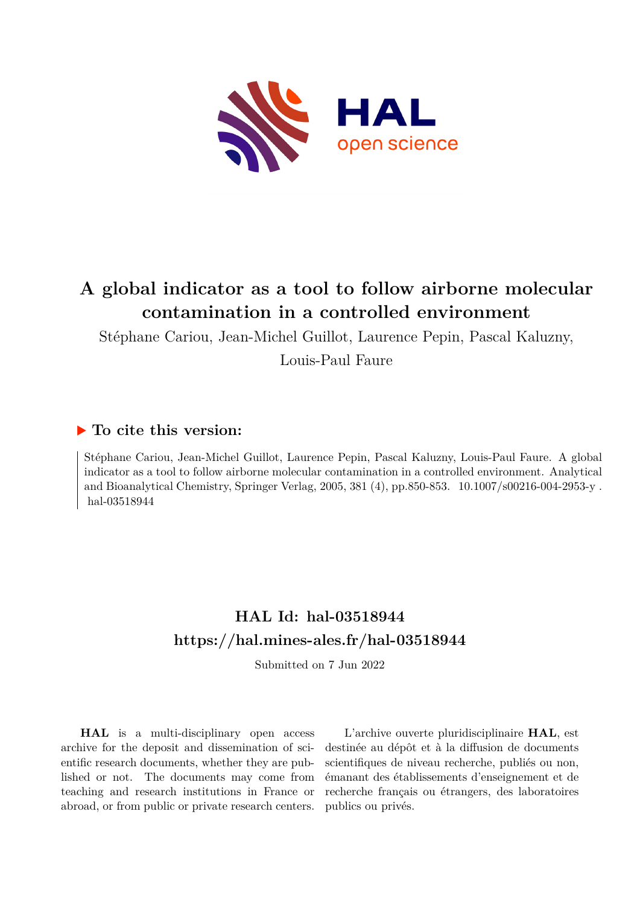

# **A global indicator as a tool to follow airborne molecular contamination in a controlled environment**

Stéphane Cariou, Jean-Michel Guillot, Laurence Pepin, Pascal Kaluzny,

Louis-Paul Faure

### **To cite this version:**

Stéphane Cariou, Jean-Michel Guillot, Laurence Pepin, Pascal Kaluzny, Louis-Paul Faure. A global indicator as a tool to follow airborne molecular contamination in a controlled environment. Analytical and Bioanalytical Chemistry, Springer Verlag, 2005, 381 (4), pp.850-853. 10.1007/s00216-004-2953-y. hal-03518944

## **HAL Id: hal-03518944 <https://hal.mines-ales.fr/hal-03518944>**

Submitted on 7 Jun 2022

**HAL** is a multi-disciplinary open access archive for the deposit and dissemination of scientific research documents, whether they are published or not. The documents may come from teaching and research institutions in France or abroad, or from public or private research centers.

L'archive ouverte pluridisciplinaire **HAL**, est destinée au dépôt et à la diffusion de documents scientifiques de niveau recherche, publiés ou non, émanant des établissements d'enseignement et de recherche français ou étrangers, des laboratoires publics ou privés.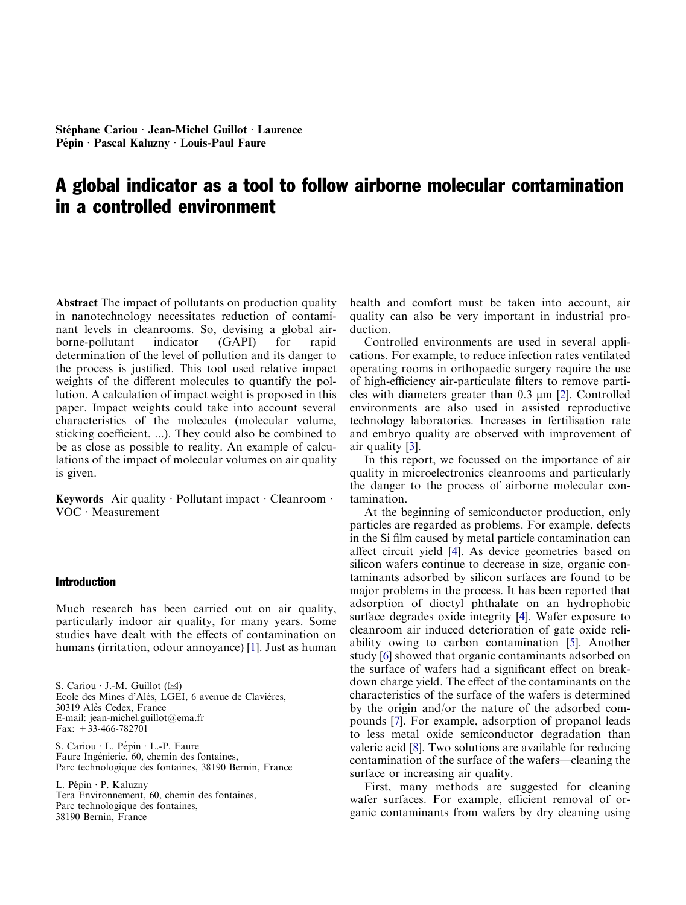### A global indicator as a tool to follow airborne molecular contamination in a controlled environment

Abstract The impact of pollutants on production quality in nanotechnology necessitates reduction of contaminant levels in cleanrooms. So, devising a global airborne-pollutant indicator (GAPI) for rapid determination of the level of pollution and its danger to the process is justified. This tool used relative impact weights of the different molecules to quantify the pollution. A calculation of impact weight is proposed in this paper. Impact weights could take into account several characteristics of the molecules (molecular volume, sticking coefficient, ...). They could also be combined to be as close as possible to reality. An example of calculations of the impact of molecular volumes on air quality is given.

Keywords Air quality  $\cdot$  Pollutant impact  $\cdot$  Cleanroom  $\cdot$  $VOC \cdot Measurement$ 

#### Introduction

Much research has been carried out on air quality, particularly indoor air quality, for many years. Some studies have dealt with the effects of contamination on humans (irritation, odour annoyance) [1]. Just as human

S. Cariou  $\cdot$  J.-M. Guillot ( $\boxtimes$ ) Ecole des Mines d'Alès, LGEI, 6 avenue de Clavières, 30319 Alès Cedex, France E-mail: jean-michel.guillot@ema.fr Fax:  $+33-466-782701$ 

S. Cariou · L. Pépin · L.-P. Faure Faure Ingénierie, 60, chemin des fontaines, Parc technologique des fontaines, 38190 Bernin, France

L. Pépin · P. Kaluzny Tera Environnement, 60, chemin des fontaines, Parc technologique des fontaines, 38190 Bernin, France

health and comfort must be taken into account, air quality can also be very important in industrial production.

Controlled environments are used in several applications. For example, to reduce infection rates ventilated operating rooms in orthopaedic surgery require the use of high-efficiency air-particulate filters to remove particles with diameters greater than  $0.3 \mu m$  [2]. Controlled environments are also used in assisted reproductive technology laboratories. Increases in fertilisation rate and embryo quality are observed with improvement of air quality [3].

In this report, we focussed on the importance of air quality in microelectronics cleanrooms and particularly the danger to the process of airborne molecular contamination.

At the beginning of semiconductor production, only particles are regarded as problems. For example, defects in the Si film caused by metal particle contamination can affect circuit yield [4]. As device geometries based on silicon wafers continue to decrease in size, organic contaminants adsorbed by silicon surfaces are found to be major problems in the process. It has been reported that adsorption of dioctyl phthalate on an hydrophobic surface degrades oxide integrity [4]. Wafer exposure to cleanroom air induced deterioration of gate oxide reliability owing to carbon contamination [5]. Another study [6] showed that organic contaminants adsorbed on the surface of wafers had a significant effect on breakdown charge yield. The effect of the contaminants on the characteristics of the surface of the wafers is determined by the origin and/or the nature of the adsorbed compounds [7]. For example, adsorption of propanol leads to less metal oxide semiconductor degradation than valeric acid [8]. Two solutions are available for reducing contamination of the surface of the wafers—cleaning the surface or increasing air quality.

First, many methods are suggested for cleaning wafer surfaces. For example, efficient removal of organic contaminants from wafers by dry cleaning using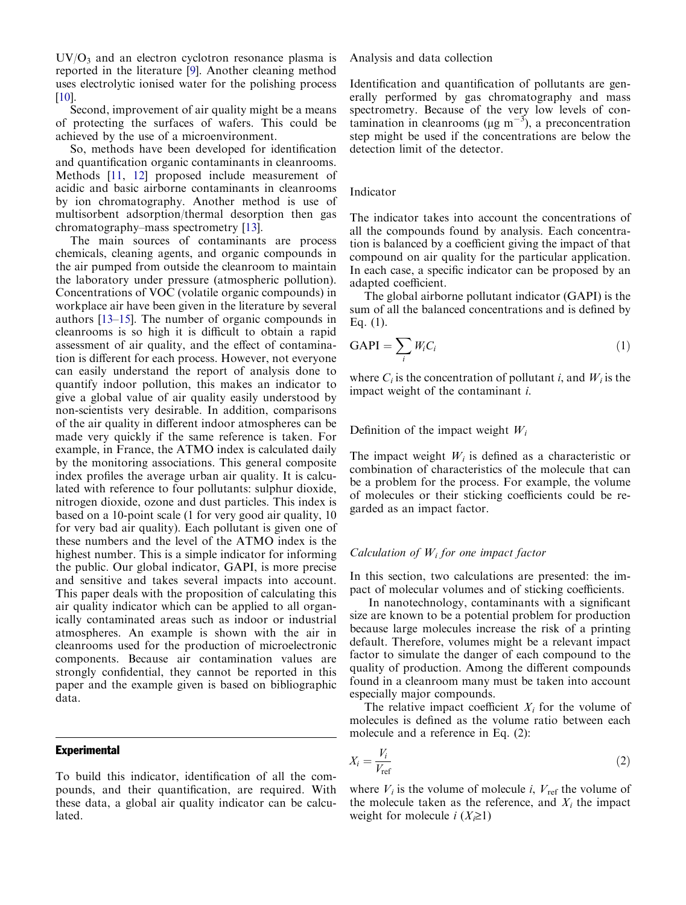$UV/O<sub>3</sub>$  and an electron cyclotron resonance plasma is reported in the literature [9]. Another cleaning method uses electrolytic ionised water for the polishing process [10].

Second, improvement of air quality might be a means of protecting the surfaces of wafers. This could be achieved by the use of a microenvironment.

So, methods have been developed for identification and quantification organic contaminants in cleanrooms. Methods [11, 12] proposed include measurement of acidic and basic airborne contaminants in cleanrooms by ion chromatography. Another method is use of multisorbent adsorption/thermal desorption then gas chromatography–mass spectrometry [13].

The main sources of contaminants are process chemicals, cleaning agents, and organic compounds in the air pumped from outside the cleanroom to maintain the laboratory under pressure (atmospheric pollution). Concentrations of VOC (volatile organic compounds) in workplace air have been given in the literature by several authors [13–15]. The number of organic compounds in cleanrooms is so high it is difficult to obtain a rapid assessment of air quality, and the effect of contamination is different for each process. However, not everyone can easily understand the report of analysis done to quantify indoor pollution, this makes an indicator to give a global value of air quality easily understood by non-scientists very desirable. In addition, comparisons of the air quality in different indoor atmospheres can be made very quickly if the same reference is taken. For example, in France, the ATMO index is calculated daily by the monitoring associations. This general composite index profiles the average urban air quality. It is calculated with reference to four pollutants: sulphur dioxide, nitrogen dioxide, ozone and dust particles. This index is based on a 10-point scale (1 for very good air quality, 10 for very bad air quality). Each pollutant is given one of these numbers and the level of the ATMO index is the highest number. This is a simple indicator for informing the public. Our global indicator, GAPI, is more precise and sensitive and takes several impacts into account. This paper deals with the proposition of calculating this air quality indicator which can be applied to all organically contaminated areas such as indoor or industrial atmospheres. An example is shown with the air in cleanrooms used for the production of microelectronic components. Because air contamination values are strongly confidential, they cannot be reported in this paper and the example given is based on bibliographic data.

#### **Experimental**

To build this indicator, identification of all the compounds, and their quantification, are required. With these data, a global air quality indicator can be calculated.

Analysis and data collection

Identification and quantification of pollutants are generally performed by gas chromatography and mass spectrometry. Because of the very low levels of contamination in cleanrooms ( $\mu$ g m<sup>-3</sup>), a preconcentration step might be used if the concentrations are below the detection limit of the detector.

#### Indicator

The indicator takes into account the concentrations of all the compounds found by analysis. Each concentration is balanced by a coefficient giving the impact of that compound on air quality for the particular application. In each case, a specific indicator can be proposed by an adapted coefficient.

The global airborne pollutant indicator (GAPI) is the sum of all the balanced concentrations and is defined by Eq. (1).

$$
GAPI = \sum_{i} W_i C_i \tag{1}
$$

where  $C_i$  is the concentration of pollutant *i*, and  $W_i$  is the impact weight of the contaminant i.

Definition of the impact weight  $W_i$ 

The impact weight  $W_i$  is defined as a characteristic or combination of characteristics of the molecule that can be a problem for the process. For example, the volume of molecules or their sticking coefficients could be regarded as an impact factor.

#### Calculation of  $W_i$  for one impact factor

In this section, two calculations are presented: the impact of molecular volumes and of sticking coefficients.

In nanotechnology, contaminants with a significant size are known to be a potential problem for production because large molecules increase the risk of a printing default. Therefore, volumes might be a relevant impact factor to simulate the danger of each compound to the quality of production. Among the different compounds found in a cleanroom many must be taken into account especially major compounds.

The relative impact coefficient  $X_i$  for the volume of molecules is defined as the volume ratio between each molecule and a reference in Eq. (2):

$$
X_i = \frac{V_i}{V_{\text{ref}}}
$$
 (2)

where  $V_i$  is the volume of molecule i,  $V_{ref}$  the volume of the molecule taken as the reference, and  $X_i$  the impact weight for molecule  $i$  ( $X_i \ge 1$ )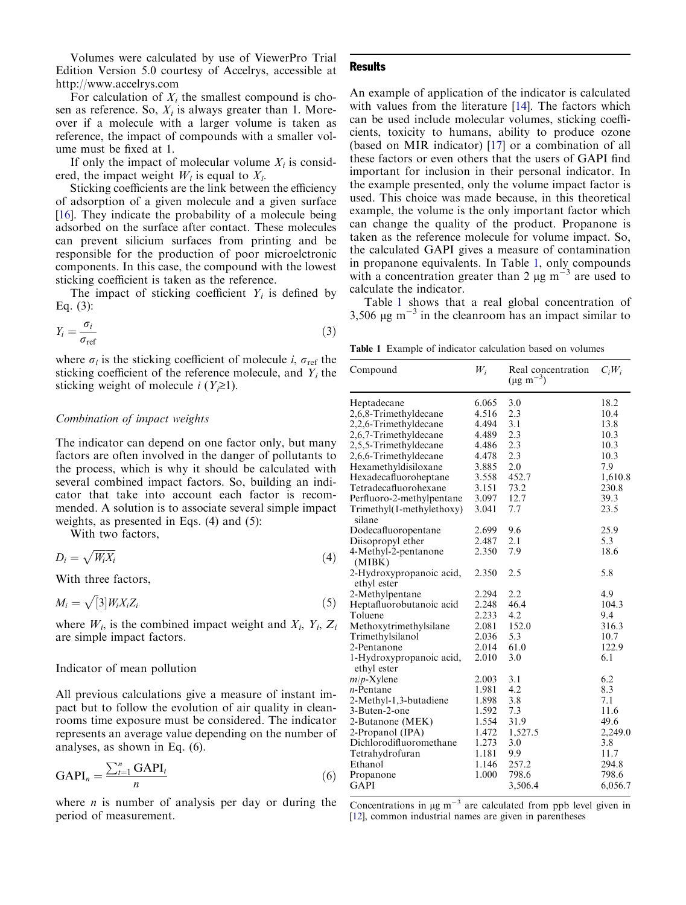Volumes were calculated by use of ViewerPro Trial Edition Version 5.0 courtesy of Accelrys, accessible at http://www.accelrys.com

For calculation of  $X_i$  the smallest compound is chosen as reference. So,  $X_i$  is always greater than 1. Moreover if a molecule with a larger volume is taken as reference, the impact of compounds with a smaller volume must be fixed at 1.

If only the impact of molecular volume  $X_i$  is considered, the impact weight  $W_i$  is equal to  $X_i$ .

Sticking coefficients are the link between the efficiency of adsorption of a given molecule and a given surface [16]. They indicate the probability of a molecule being adsorbed on the surface after contact. These molecules can prevent silicium surfaces from printing and be responsible for the production of poor microelctronic components. In this case, the compound with the lowest sticking coefficient is taken as the reference.

The impact of sticking coefficient  $Y_i$  is defined by Eq. (3):

$$
Y_i = \frac{\sigma_i}{\sigma_{\text{ref}}}
$$
 (3)

where  $\sigma_i$  is the sticking coefficient of molecule i,  $\sigma_{ref}$  the sticking coefficient of the reference molecule, and  $Y_i$  the sticking weight of molecule  $i$  (Y<sub>i</sub> $\geq$ 1).

#### Combination of impact weights

The indicator can depend on one factor only, but many factors are often involved in the danger of pollutants to the process, which is why it should be calculated with several combined impact factors. So, building an indicator that take into account each factor is recommended. A solution is to associate several simple impact weights, as presented in Eqs. (4) and (5):

With two factors,

$$
D_i = \sqrt{W_i X_i} \tag{4}
$$

With three factors,

$$
M_i = \sqrt{3} W_i X_i Z_i \tag{5}
$$

where  $W_i$ , is the combined impact weight and  $X_i$ ,  $Y_i$ ,  $Z_i$ are simple impact factors.

#### Indicator of mean pollution

All previous calculations give a measure of instant impact but to follow the evolution of air quality in cleanrooms time exposure must be considered. The indicator represents an average value depending on the number of analyses, as shown in Eq. (6).

$$
GAPI_n = \frac{\sum_{t=1}^{n} GAPI_t}{n}
$$
 (6)

where  $n$  is number of analysis per day or during the period of measurement.

#### **Results**

An example of application of the indicator is calculated with values from the literature [14]. The factors which can be used include molecular volumes, sticking coefficients, toxicity to humans, ability to produce ozone (based on MIR indicator) [17] or a combination of all these factors or even others that the users of GAPI find important for inclusion in their personal indicator. In the example presented, only the volume impact factor is used. This choice was made because, in this theoretical example, the volume is the only important factor which can change the quality of the product. Propanone is taken as the reference molecule for volume impact. So, the calculated GAPI gives a measure of contamination in propanone equivalents. In Table 1, only compounds with a concentration greater than 2  $\mu$ g m<sup>-3</sup> are used to calculate the indicator.

Table 1 shows that a real global concentration of 3,506  $\mu$ g m<sup>-3</sup> in the cleanroom has an impact similar to

Table 1 Example of indicator calculation based on volumes

| Compound                                | $W_i$ | Real concentration<br>$(\mu g \text{ m}^{-3})$ | $C_iW_i$ |
|-----------------------------------------|-------|------------------------------------------------|----------|
| Heptadecane                             | 6.065 | 3.0                                            | 18.2     |
| 2,6,8-Trimethyldecane                   | 4.516 | 2.3                                            | 10.4     |
| 2,2,6-Trimethyldecane                   | 4.494 | 3.1                                            | 13.8     |
| 2,6,7-Trimethyldecane                   | 4.489 | 2.3                                            | 10.3     |
| 2,5,5-Trimethyldecane                   | 4.486 | 2.3                                            | 10.3     |
| 2,6,6-Trimethyldecane                   | 4.478 | 2.3                                            | 10.3     |
| Hexamethyldisiloxane                    | 3.885 | 2.0                                            | 7.9      |
| Hexadecafluoroheptane                   | 3.558 | 452.7                                          | 1,610.8  |
| Tetradecafluorohexane                   | 3.151 | 73.2                                           | 230.8    |
| Perfluoro-2-methylpentane               | 3.097 | 12.7                                           | 39.3     |
| Trimethyl(1-methylethoxy)<br>silane     | 3.041 | 7.7                                            | 23.5     |
| Dodecafluoropentane                     | 2.699 | 9.6                                            | 25.9     |
| Diisopropyl ether                       | 2.487 | 2.1                                            | 5.3      |
| 4-Methyl-2-pentanone<br>(MIBK)          | 2.350 | 7.9                                            | 18.6     |
| 2-Hydroxypropanoic acid,<br>ethyl ester | 2.350 | 2.5                                            | 5.8      |
| 2-Methylpentane                         | 2.294 | 2.2                                            | 4.9      |
| Heptafluorobutanoic acid                | 2.248 | 46.4                                           | 104.3    |
| Toluene                                 | 2.233 | 4.2                                            | 9.4      |
| Methoxytrimethylsilane                  | 2.081 | 152.0                                          | 316.3    |
| Trimethylsilanol                        | 2.036 | 5.3                                            | 10.7     |
| 2-Pentanone                             | 2.014 | 61.0                                           | 122.9    |
| 1-Hydroxypropanoic acid,<br>ethyl ester | 2.010 | 3.0                                            | 6.1      |
| $m/p$ -Xylene                           | 2.003 | 3.1                                            | 6.2      |
| $n$ -Pentane                            | 1.981 | 4.2                                            | 8.3      |
| 2-Methyl-1,3-butadiene                  | 1.898 | 3.8                                            | 7.1      |
| 3-Buten-2-one                           | 1.592 | 7.3                                            | 11.6     |
| 2-Butanone (MEK)                        | 1.554 | 31.9                                           | 49.6     |
| 2-Propanol (IPA)                        | 1.472 | 1,527.5                                        |          |
|                                         |       |                                                | 2,249.0  |
| Dichlorodifluoromethane                 | 1.273 | 3.0                                            | 3.8      |
| Tetrahydrofuran                         | 1.181 | 9.9                                            | 11.7     |
| Ethanol                                 | 1.146 | 257.2                                          | 294.8    |
| Propanone                               | 1.000 | 798.6                                          | 798.6    |
| <b>GAPI</b>                             |       | 3,506.4                                        | 6,056.7  |

Concentrations in  $\mu$ g m<sup>-3</sup> are calculated from ppb level given in [12], common industrial names are given in parentheses